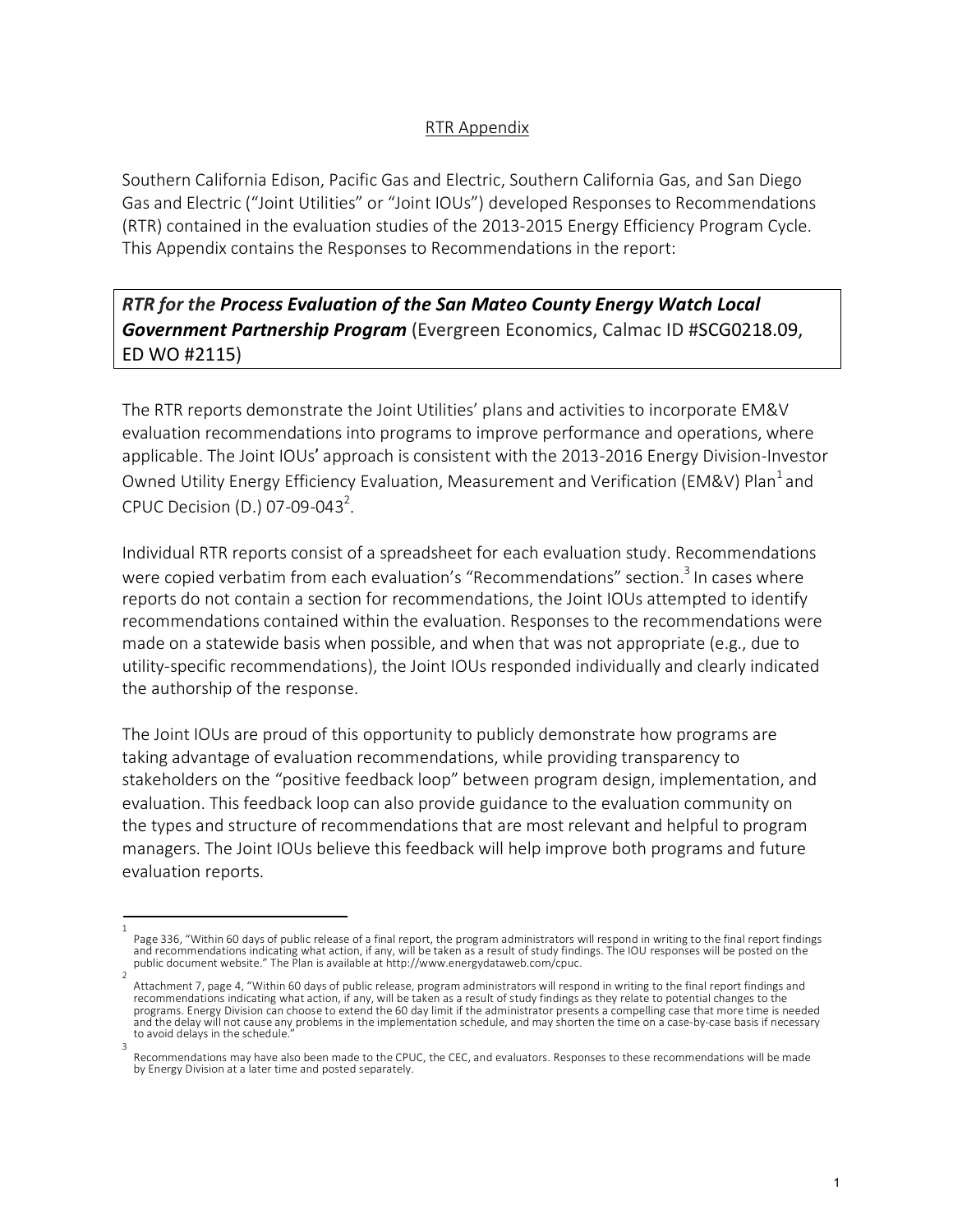## RTR Appendix

Southern California Edison, Pacific Gas and Electric, Southern California Gas, and San Diego Gas and Electric ("Joint Utilities" or "Joint IOUs") developed Responses to Recommendations (RTR) contained in the evaluation studies of the 2013-2015 Energy Efficiency Program Cycle. This Appendix contains the Responses to Recommendations in the report:

*RTR for the Process Evaluation of the San Mateo County Energy Watch Local Government Partnership Program* (Evergreen Economics, Calmac ID #SCG0218.09, ED WO #2115)

The RTR reports demonstrate the Joint Utilities' plans and activities to incorporate EM&V evaluation recommendations into programs to improve performance and operations, where applicable. The Joint IOUs' approach is consistent with the 2013-2016 Energy Division-Investor Owned Utility Energy Efficiency Evaluation, Measurement and Verification (EM&V) Plan<sup>1</sup> and CPUC Decision (D.) 07-09-043<sup>2</sup>.

Individual RTR reports consist of a spreadsheet for each evaluation study. Recommendations were copied verbatim from each evaluation's "Recommendations" section.<sup>3</sup> In cases where reports do not contain a section for recommendations, the Joint IOUs attempted to identify recommendations contained within the evaluation. Responses to the recommendations were made on a statewide basis when possible, and when that was not appropriate (e.g., due to utility-specific recommendations), the Joint IOUs responded individually and clearly indicated the authorship of the response.

The Joint IOUs are proud of this opportunity to publicly demonstrate how programs are taking advantage of evaluation recommendations, while providing transparency to stakeholders on the "positive feedback loop" between program design, implementation, and evaluation. This feedback loop can also provide guidance to the evaluation community on the types and structure of recommendations that are most relevant and helpful to program managers. The Joint IOUs believe this feedback will help improve both programs and future evaluation reports.

<sup>1</sup>  Page 336, "Within 60 days of public release of a final report, the program administrators will respond in writing to the final report findings and recommendations indicating what action, if any, will be taken as a result of study findings. The IOU responses will be posted on the<br>public document website." The Plan is available at http://www.energydataweb.com/cpuc.

Attachment 7, page 4, "Within 60 days of public release, program administrators will respond in writing to the final report findings and recommendations indicating what action, if any, will be taken as a result of study findings as they relate to potential changes to the programs. Energy Division can choose to extend the 60 day limit if the administrator presents a compelling case that more time is needed and the delay will not cause any problems in the implementation schedule, and may shorten the time on a case-by-case basis if necessary to avoid delays in the schedule.

<sup>3</sup>  Recommendations may have also been made to the CPUC, the CEC, and evaluators. Responses to these recommendations will be made by Energy Division at a later time and posted separately.